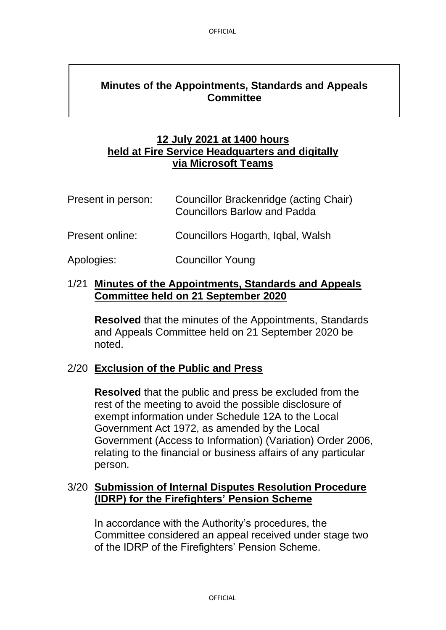# **Minutes of the Appointments, Standards and Appeals Committee**

## **12 July 2021 at 1400 hours held at Fire Service Headquarters and digitally via Microsoft Teams**

| Present in person: | Councillor Brackenridge (acting Chair)<br><b>Councillors Barlow and Padda</b> |
|--------------------|-------------------------------------------------------------------------------|
| Present online:    | Councillors Hogarth, Igbal, Walsh                                             |

Apologies: Councillor Young

#### 1/21 **Minutes of the Appointments, Standards and Appeals Committee held on 21 September 2020**

**Resolved** that the minutes of the Appointments, Standards and Appeals Committee held on 21 September 2020 be noted.

#### 2/20 **Exclusion of the Public and Press**

**Resolved** that the public and press be excluded from the rest of the meeting to avoid the possible disclosure of exempt information under Schedule 12A to the Local Government Act 1972, as amended by the Local Government (Access to Information) (Variation) Order 2006, relating to the financial or business affairs of any particular person.

## 3/20 **Submission of Internal Disputes Resolution Procedure (IDRP) for the Firefighters' Pension Scheme**

In accordance with the Authority's procedures, the Committee considered an appeal received under stage two of the IDRP of the Firefighters' Pension Scheme.